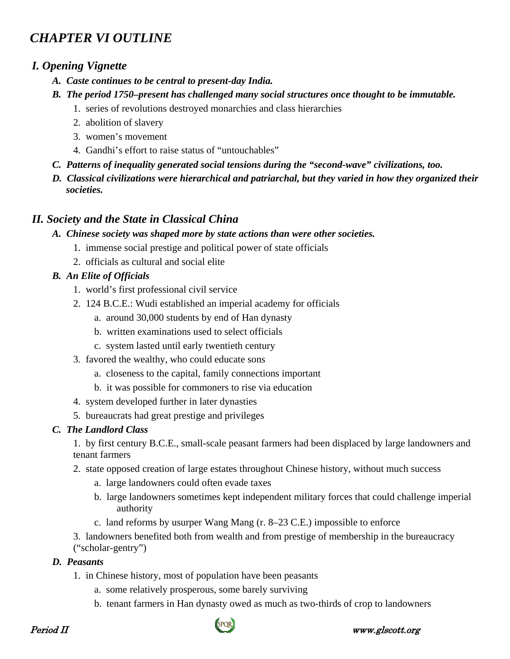# *CHAPTER VI OUTLINE*

## *I. Opening Vignette*

- *A. Caste continues to be central to present-day India.*
- *B. The period 1750–present has challenged many social structures once thought to be immutable.*
	- 1. series of revolutions destroyed monarchies and class hierarchies
	- 2. abolition of slavery
	- 3. women's movement
	- 4. Gandhi's effort to raise status of "untouchables"
- *C. Patterns of inequality generated social tensions during the "second-wave" civilizations, too.*
- *D. Classical civilizations were hierarchical and patriarchal, but they varied in how they organized their societies.*

# *II. Society and the State in Classical China*

- *A. Chinese society was shaped more by state actions than were other societies.*
	- 1. immense social prestige and political power of state officials
	- 2. officials as cultural and social elite

## *B. An Elite of Officials*

- 1. world's first professional civil service
- 2. 124 B.C.E.: Wudi established an imperial academy for officials
	- a. around 30,000 students by end of Han dynasty
	- b. written examinations used to select officials
	- c. system lasted until early twentieth century
- 3. favored the wealthy, who could educate sons
	- a. closeness to the capital, family connections important
	- b. it was possible for commoners to rise via education
- 4. system developed further in later dynasties
- 5. bureaucrats had great prestige and privileges

## *C. The Landlord Class*

1. by first century B.C.E., small-scale peasant farmers had been displaced by large landowners and tenant farmers

- 2. state opposed creation of large estates throughout Chinese history, without much success
	- a. large landowners could often evade taxes
	- b. large landowners sometimes kept independent military forces that could challenge imperial authority
	- c. land reforms by usurper Wang Mang (r. 8–23 C.E.) impossible to enforce

 3. landowners benefited both from wealth and from prestige of membership in the bureaucracy ("scholar-gentry")

## *D. Peasants*

- 1. in Chinese history, most of population have been peasants
	- a. some relatively prosperous, some barely surviving
	- b. tenant farmers in Han dynasty owed as much as two-thirds of crop to landowners

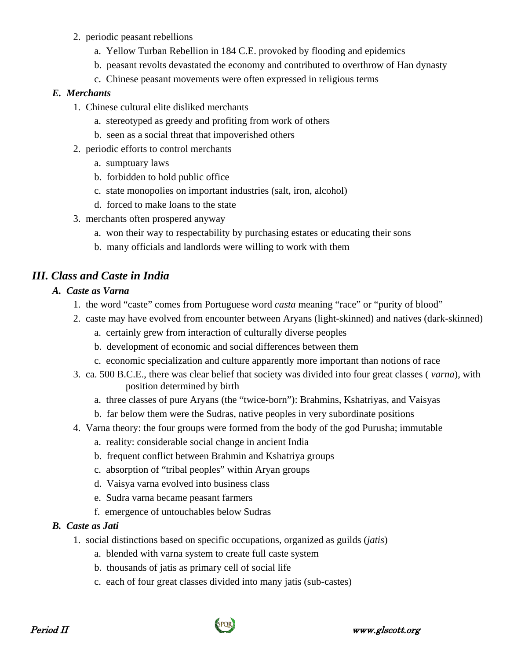- 2. periodic peasant rebellions
	- a. Yellow Turban Rebellion in 184 C.E. provoked by flooding and epidemics
	- b. peasant revolts devastated the economy and contributed to overthrow of Han dynasty
	- c. Chinese peasant movements were often expressed in religious terms

#### *E. Merchants*

- 1. Chinese cultural elite disliked merchants
	- a. stereotyped as greedy and profiting from work of others
	- b. seen as a social threat that impoverished others
- 2. periodic efforts to control merchants
	- a. sumptuary laws
	- b. forbidden to hold public office
	- c. state monopolies on important industries (salt, iron, alcohol)
	- d. forced to make loans to the state
- 3. merchants often prospered anyway
	- a. won their way to respectability by purchasing estates or educating their sons
	- b. many officials and landlords were willing to work with them

# *III. Class and Caste in India*

## *A. Caste as Varna*

- 1. the word "caste" comes from Portuguese word *casta* meaning "race" or "purity of blood"
- 2. caste may have evolved from encounter between Aryans (light-skinned) and natives (dark-skinned)
	- a. certainly grew from interaction of culturally diverse peoples
	- b. development of economic and social differences between them
	- c. economic specialization and culture apparently more important than notions of race
- 3. ca. 500 B.C.E., there was clear belief that society was divided into four great classes ( *varna*), with position determined by birth
	- a. three classes of pure Aryans (the "twice-born"): Brahmins, Kshatriyas, and Vaisyas
	- b. far below them were the Sudras, native peoples in very subordinate positions
- 4. Varna theory: the four groups were formed from the body of the god Purusha; immutable
	- a. reality: considerable social change in ancient India
	- b. frequent conflict between Brahmin and Kshatriya groups
	- c. absorption of "tribal peoples" within Aryan groups
	- d. Vaisya varna evolved into business class
	- e. Sudra varna became peasant farmers
	- f. emergence of untouchables below Sudras

## *B. Caste as Jati*

- 1. social distinctions based on specific occupations, organized as guilds (*jatis*)
	- a. blended with varna system to create full caste system
	- b. thousands of jatis as primary cell of social life
	- c. each of four great classes divided into many jatis (sub-castes)

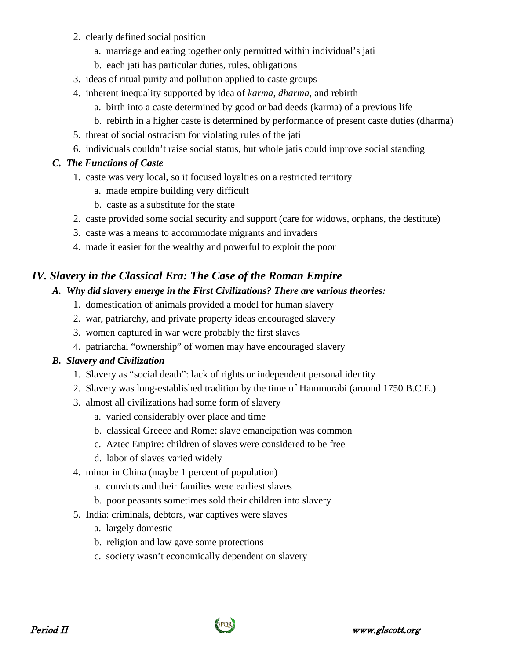- 2. clearly defined social position
	- a. marriage and eating together only permitted within individual's jati
	- b. each jati has particular duties, rules, obligations
- 3. ideas of ritual purity and pollution applied to caste groups
- 4. inherent inequality supported by idea of *karma*, *dharma*, and rebirth
	- a. birth into a caste determined by good or bad deeds (karma) of a previous life
	- b. rebirth in a higher caste is determined by performance of present caste duties (dharma)
- 5. threat of social ostracism for violating rules of the jati
- 6. individuals couldn't raise social status, but whole jatis could improve social standing

#### *C. The Functions of Caste*

- 1. caste was very local, so it focused loyalties on a restricted territory
	- a. made empire building very difficult
	- b. caste as a substitute for the state
- 2. caste provided some social security and support (care for widows, orphans, the destitute)
- 3. caste was a means to accommodate migrants and invaders
- 4. made it easier for the wealthy and powerful to exploit the poor

# *IV. Slavery in the Classical Era: The Case of the Roman Empire*

#### *A. Why did slavery emerge in the First Civilizations? There are various theories:*

- 1. domestication of animals provided a model for human slavery
- 2. war, patriarchy, and private property ideas encouraged slavery
- 3. women captured in war were probably the first slaves
- 4. patriarchal "ownership" of women may have encouraged slavery

## *B. Slavery and Civilization*

- 1. Slavery as "social death": lack of rights or independent personal identity
- 2. Slavery was long-established tradition by the time of Hammurabi (around 1750 B.C.E.)
- 3. almost all civilizations had some form of slavery
	- a. varied considerably over place and time
	- b. classical Greece and Rome: slave emancipation was common
	- c. Aztec Empire: children of slaves were considered to be free
	- d. labor of slaves varied widely
- 4. minor in China (maybe 1 percent of population)
	- a. convicts and their families were earliest slaves
	- b. poor peasants sometimes sold their children into slavery
- 5. India: criminals, debtors, war captives were slaves
	- a. largely domestic
	- b. religion and law gave some protections
	- c. society wasn't economically dependent on slavery

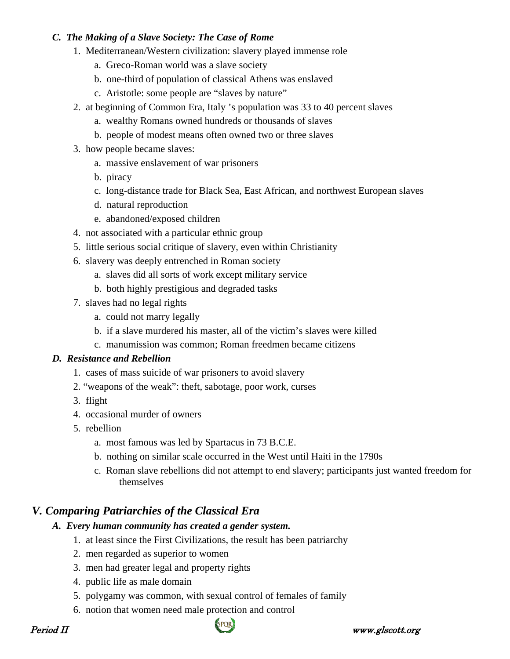#### *C. The Making of a Slave Society: The Case of Rome*

- 1. Mediterranean/Western civilization: slavery played immense role
	- a. Greco-Roman world was a slave society
	- b. one-third of population of classical Athens was enslaved
	- c. Aristotle: some people are "slaves by nature"
- 2. at beginning of Common Era, Italy 's population was 33 to 40 percent slaves
	- a. wealthy Romans owned hundreds or thousands of slaves
	- b. people of modest means often owned two or three slaves
- 3. how people became slaves:
	- a. massive enslavement of war prisoners
	- b. piracy
	- c. long-distance trade for Black Sea, East African, and northwest European slaves
	- d. natural reproduction
	- e. abandoned/exposed children
- 4. not associated with a particular ethnic group
- 5. little serious social critique of slavery, even within Christianity
- 6. slavery was deeply entrenched in Roman society
	- a. slaves did all sorts of work except military service
	- b. both highly prestigious and degraded tasks
- 7. slaves had no legal rights
	- a. could not marry legally
	- b. if a slave murdered his master, all of the victim's slaves were killed
	- c. manumission was common; Roman freedmen became citizens

#### *D. Resistance and Rebellion*

- 1. cases of mass suicide of war prisoners to avoid slavery
- 2. "weapons of the weak": theft, sabotage, poor work, curses
- 3. flight
- 4. occasional murder of owners
- 5. rebellion
	- a. most famous was led by Spartacus in 73 B.C.E.
	- b. nothing on similar scale occurred in the West until Haiti in the 1790s
	- c. Roman slave rebellions did not attempt to end slavery; participants just wanted freedom for themselves

# *V. Comparing Patriarchies of the Classical Era*

#### *A. Every human community has created a gender system.*

- 1. at least since the First Civilizations, the result has been patriarchy
- 2. men regarded as superior to women
- 3. men had greater legal and property rights
- 4. public life as male domain
- 5. polygamy was common, with sexual control of females of family
- 6. notion that women need male protection and control

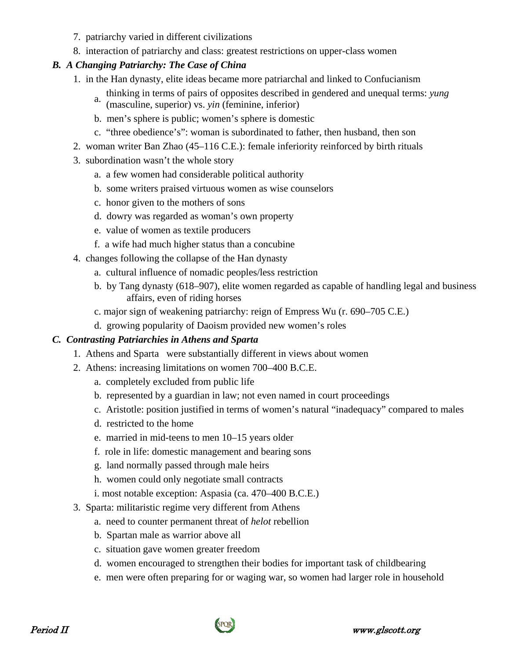- 7. patriarchy varied in different civilizations
- 8. interaction of patriarchy and class: greatest restrictions on upper-class women

#### *B. A Changing Patriarchy: The Case of China*

- 1. in the Han dynasty, elite ideas became more patriarchal and linked to Confucianism
	- a. thinking in terms of pairs of opposites described in gendered and unequal terms: *yung*
	- (masculine, superior) vs. *yin* (feminine, inferior)
	- b. men's sphere is public; women's sphere is domestic
	- c. "three obedience's": woman is subordinated to father, then husband, then son
- 2. woman writer Ban Zhao (45–116 C.E.): female inferiority reinforced by birth rituals
- 3. subordination wasn't the whole story
	- a. a few women had considerable political authority
	- b. some writers praised virtuous women as wise counselors
	- c. honor given to the mothers of sons
	- d. dowry was regarded as woman's own property
	- e. value of women as textile producers
	- f. a wife had much higher status than a concubine
- 4. changes following the collapse of the Han dynasty
	- a. cultural influence of nomadic peoples/less restriction
	- b. by Tang dynasty (618–907), elite women regarded as capable of handling legal and business affairs, even of riding horses
	- c. major sign of weakening patriarchy: reign of Empress Wu (r. 690–705 C.E.)
	- d. growing popularity of Daoism provided new women's roles

## *C. Contrasting Patriarchies in Athens and Sparta*

- 1. Athens and Sparta were substantially different in views about women
- 2. Athens: increasing limitations on women 700–400 B.C.E.
	- a. completely excluded from public life
	- b. represented by a guardian in law; not even named in court proceedings
	- c. Aristotle: position justified in terms of women's natural "inadequacy" compared to males
	- d. restricted to the home
	- e. married in mid-teens to men 10–15 years older
	- f. role in life: domestic management and bearing sons
	- g. land normally passed through male heirs
	- h. women could only negotiate small contracts
	- i. most notable exception: Aspasia (ca. 470–400 B.C.E.)
- 3. Sparta: militaristic regime very different from Athens
	- a. need to counter permanent threat of *helot* rebellion
	- b. Spartan male as warrior above all
	- c. situation gave women greater freedom
	- d. women encouraged to strengthen their bodies for important task of childbearing
	- e. men were often preparing for or waging war, so women had larger role in household